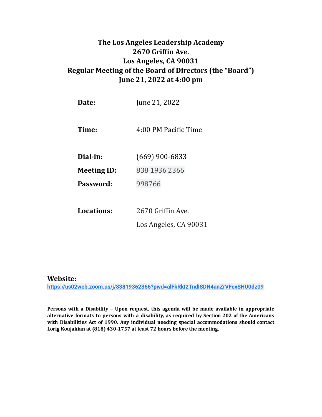# **The Los Angeles Leadership Academy 2670 Grifin Ave. Los Angeles, CA 90031 Regular Meeting of the Board of Directors (the "Board") June 21, 2022 at 4:00 pm**

| Date:              | June 21, 2022         |
|--------------------|-----------------------|
| Time:              | 4:00 PM Pacific Time  |
| Dial-in:           | $(669)$ 900-6833      |
| <b>Meeting ID:</b> | 838 1936 2366         |
| Password:          | 998766                |
|                    |                       |
| Locations:         | 2670 Griffin Ave.     |
|                    | Los Angeles, CA 90031 |

#### **Website:**

**<https://us02web.zoom.us/j/83819362366?pwd=alFkRkI2TndISDN4anZrVFcxSHU0dz09>**

**Persons with a Disability – Upon request, this agenda will be made available in appropriate alternative formats to persons with a disability, as required by Section 202 of the Americans with Disabilities Act of 1990. Any individual needing special accommodations should contact Lorig Koujakian at (818) 430-1757 at least 72 hours before the meeting.**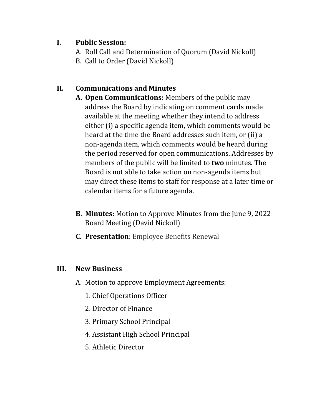#### **I. Public Session:**

- A. Roll Call and Determination of Quorum (David Nickoll)
- B. Call to Order (David Nickoll)

## **II. Communications and Minutes**

- **A. Open Communications:** Members of the public may address the Board by indicating on comment cards made available at the meeting whether they intend to address either (i) a specific agenda item, which comments would be heard at the time the Board addresses such item, or (ii) a non-agenda item, which comments would be heard during the period reserved for open communications. Addresses by members of the public will be limited to **two** minutes. The Board is not able to take action on non-agenda items but may direct these items to staff for response at a later time or calendar items for a future agenda.
- **B. Minutes:** Motion to Approve Minutes from the June 9, 2022 Board Meeting (David Nickoll)
- **C. Presentation**: Employee Beneits Renewal

## **III. New Business**

- A. Motion to approve Employment Agreements:
	- 1. Chief Operations Oficer
	- 2. Director of Finance
	- 3. Primary School Principal
	- 4. Assistant High School Principal
	- 5. Athletic Director